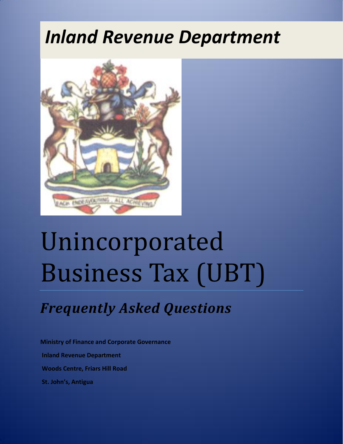## *Inland Revenue Department*



# Unincorporated Business Tax (UBT)

### *Frequently Asked Questions*

**Ministry of Finance and Corporate Governance Inland Revenue Department Woods Centre, Friars Hill Road St. John's, Antigua**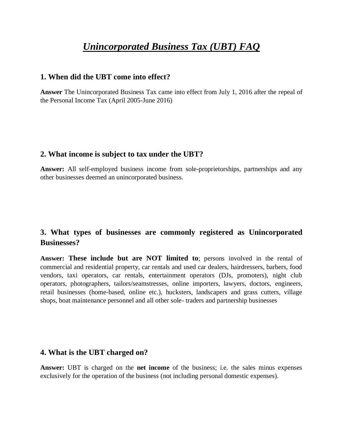#### *Unincorporated Business Tax (UBT) FAQ*

#### **1. When did the UBT come into effect?**

**Answer** The Unincorporated Business Tax came into effect from July 1, 2016 after the repeal of the Personal Income Tax (April 2005-June 2016)

#### **2. What income is subject to tax under the UBT?**

**Answer:** All self-employed business income from sole-proprietorships, partnerships and any other businesses deemed an unincorporated business.

#### **3. What types of businesses are commonly registered as Unincorporated Businesses?**

**Answer: These include but are NOT limited to**; persons involved in the rental of commercial and residential property, car rentals and used car dealers, hairdressers, barbers, food vendors, taxi operators, car rentals, entertainment operators (DJs, promoters), night club operators, photographers, tailors/seamstresses, online importers, lawyers, doctors, engineers, retail businesses (home-based, online etc.), hucksters, landscapers and grass cutters, village shops, boat maintenance personnel and all other sole- traders and partnership businesses

#### **4. What is the UBT charged on?**

**Answer:** UBT is charged on the **net income** of the business; i.e. the sales minus expenses exclusively for the operation of the business (not including personal domestic expenses).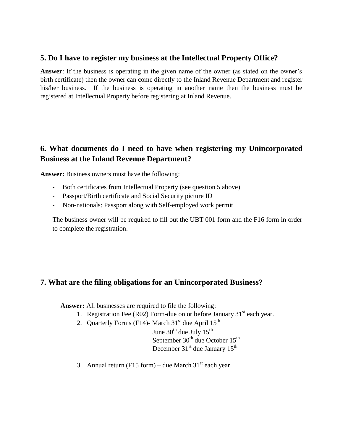#### **5. Do I have to register my business at the Intellectual Property Office?**

**Answer**: If the business is operating in the given name of the owner (as stated on the owner's birth certificate) then the owner can come directly to the Inland Revenue Department and register his/her business. If the business is operating in another name then the business must be registered at Intellectual Property before registering at Inland Revenue.

#### **6. What documents do I need to have when registering my Unincorporated Business at the Inland Revenue Department?**

**Answer:** Business owners must have the following:

- Both certificates from Intellectual Property (see question 5 above)
- Passport/Birth certificate and Social Security picture ID
- Non-nationals: Passport along with Self-employed work permit

The business owner will be required to fill out the UBT 001 form and the F16 form in order to complete the registration.

#### **7. What are the filing obligations for an Unincorporated Business?**

**Answer:** All businesses are required to file the following:

- 1. Registration Fee (R02) Form-due on or before January  $31<sup>st</sup>$  each year.
- 2. Quarterly Forms (F14)- March  $31<sup>st</sup>$  due April  $15<sup>th</sup>$

June  $30^{th}$  due July  $15^{th}$ 

September  $30<sup>th</sup>$  due October  $15<sup>th</sup>$ December 31<sup>st</sup> due January 15<sup>th</sup>

3. Annual return (F15 form) – due March  $31<sup>st</sup>$  each year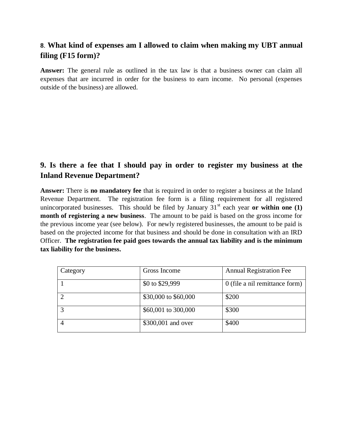#### **8**. **What kind of expenses am I allowed to claim when making my UBT annual filing (F15 form)?**

**Answer:** The general rule as outlined in the tax law is that a business owner can claim all expenses that are incurred in order for the business to earn income. No personal (expenses outside of the business) are allowed.

#### **9. Is there a fee that I should pay in order to register my business at the Inland Revenue Department?**

**Answer:** There is **no mandatory fee** that is required in order to register a business at the Inland Revenue Department. The registration fee form is a filing requirement for all registered unincorporated businesses. This should be filed by January  $31<sup>st</sup>$  each year **or within one (1) month of registering a new business**. The amount to be paid is based on the gross income for the previous income year (see below). For newly registered businesses, the amount to be paid is based on the projected income for that business and should be done in consultation with an IRD Officer. **The registration fee paid goes towards the annual tax liability and is the minimum tax liability for the business.**

| Category | Gross Income         | <b>Annual Registration Fee</b> |
|----------|----------------------|--------------------------------|
|          | \$0 to \$29,999      | 0 (file a nil remittance form) |
| 2        | \$30,000 to \$60,000 | \$200                          |
| 3        | \$60,001 to 300,000  | \$300                          |
|          | \$300,001 and over   | \$400                          |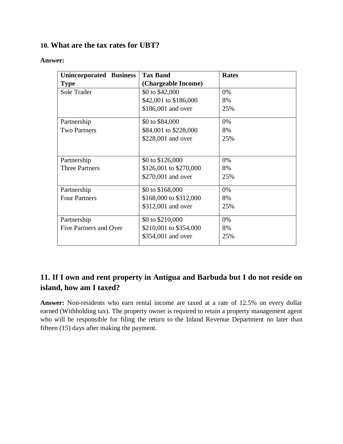#### **10. What are the tax rates for UBT?**

#### **Answer:**

| <b>Unincorporated Business</b> | <b>Tax Band</b>        | <b>Rates</b> |
|--------------------------------|------------------------|--------------|
| <b>Type</b>                    | (Chargeable Income)    |              |
| Sole Trader                    | \$0 to \$42,000        | 0%           |
|                                | \$42,001 to \$186,000  | 8%           |
|                                | \$186,001 and over     | 25%          |
| Partnership                    | \$0 to \$84,000        | 0%           |
| <b>Two Partners</b>            | \$84,001 to \$228,000  | 8%           |
|                                | \$228,001 and over     | 25%          |
|                                |                        |              |
| Partnership                    | \$0 to \$126,000       | 0%           |
| <b>Three Partners</b>          | \$126,001 to \$270,000 | 8%           |
|                                | \$270,001 and over     | 25%          |
| Partnership                    | \$0 to \$168,000       | 0%           |
| <b>Four Partners</b>           | \$168,000 to \$312,000 | 8%           |
|                                | \$312,001 and over     | 25%          |
| Partnership                    | \$0 to \$210,000       | 0%           |
| Five Partners and Over         | \$210,001 to \$354,000 | 8%           |
|                                | \$354,001 and over     | 25%          |
|                                |                        |              |

#### **11. If I own and rent property in Antigua and Barbuda but I do not reside on island, how am I taxed?**

**Answer:** Non-residents who earn rental income are taxed at a rate of 12.5% on every dollar earned (Withholding tax). The property owner is required to retain a property management agent who will be responsible for filing the return to the Inland Revenue Department no later than fifteen (15) days after making the payment.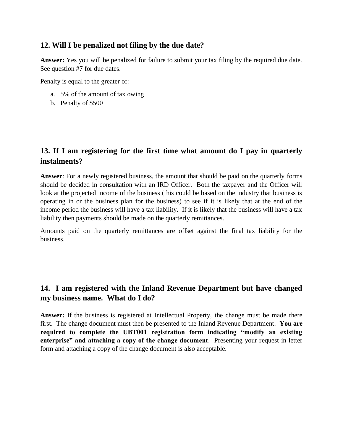#### **12. Will I be penalized not filing by the due date?**

**Answer:** Yes you will be penalized for failure to submit your tax filing by the required due date. See question #7 for due dates.

Penalty is equal to the greater of:

- a. 5% of the amount of tax owing
- b. Penalty of \$500

#### **13. If I am registering for the first time what amount do I pay in quarterly instalments?**

**Answer**: For a newly registered business, the amount that should be paid on the quarterly forms should be decided in consultation with an IRD Officer. Both the taxpayer and the Officer will look at the projected income of the business (this could be based on the industry that business is operating in or the business plan for the business) to see if it is likely that at the end of the income period the business will have a tax liability. If it is likely that the business will have a tax liability then payments should be made on the quarterly remittances.

Amounts paid on the quarterly remittances are offset against the final tax liability for the business.

#### **14. I am registered with the Inland Revenue Department but have changed my business name. What do I do?**

**Answer:** If the business is registered at Intellectual Property, the change must be made there first. The change document must then be presented to the Inland Revenue Department. **You are required to complete the UBT001 registration form indicating "modify an existing enterprise" and attaching a copy of the change document**. Presenting your request in letter form and attaching a copy of the change document is also acceptable.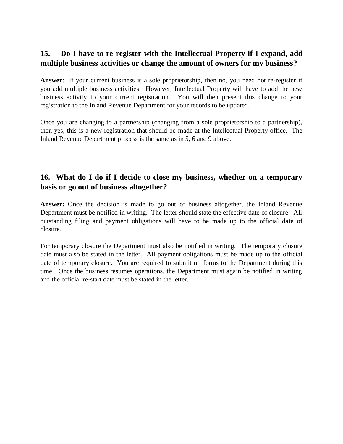#### **15. Do I have to re-register with the Intellectual Property if I expand, add multiple business activities or change the amount of owners for my business?**

**Answer**: If your current business is a sole proprietorship, then no, you need not re-register if you add multiple business activities. However, Intellectual Property will have to add the new business activity to your current registration. You will then present this change to your registration to the Inland Revenue Department for your records to be updated.

Once you are changing to a partnership (changing from a sole proprietorship to a partnership), then yes, this is a new registration that should be made at the Intellectual Property office. The Inland Revenue Department process is the same as in 5, 6 and 9 above.

#### **16. What do I do if I decide to close my business, whether on a temporary basis or go out of business altogether?**

Answer: Once the decision is made to go out of business altogether, the Inland Revenue Department must be notified in writing. The letter should state the effective date of closure. All outstanding filing and payment obligations will have to be made up to the official date of closure.

For temporary closure the Department must also be notified in writing. The temporary closure date must also be stated in the letter. All payment obligations must be made up to the official date of temporary closure. You are required to submit nil forms to the Department during this time. Once the business resumes operations, the Department must again be notified in writing and the official re-start date must be stated in the letter.